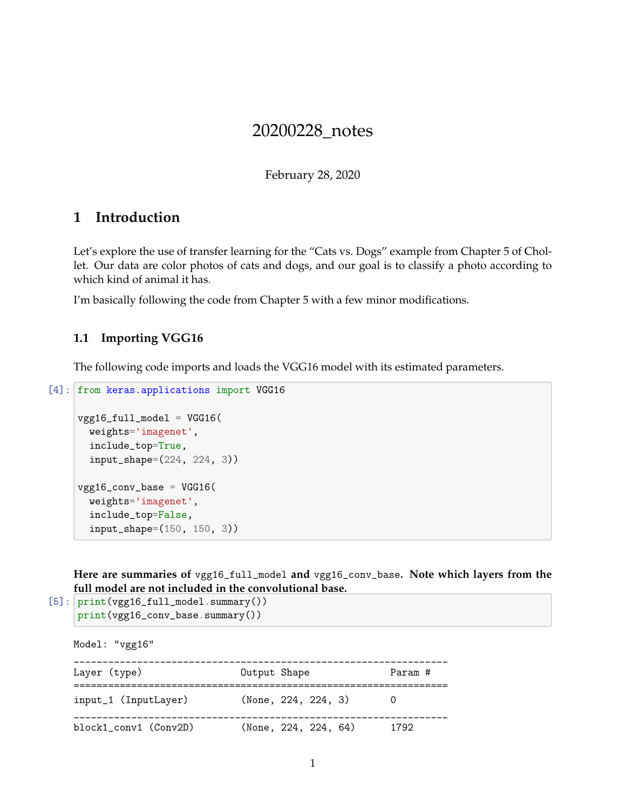# 20200228\_notes

February 28, 2020

## **1 Introduction**

Let's explore the use of transfer learning for the "Cats vs. Dogs" example from Chapter 5 of Chollet. Our data are color photos of cats and dogs, and our goal is to classify a photo according to which kind of animal it has.

I'm basically following the code from Chapter 5 with a few minor modifications.

### **1.1 Importing VGG16**

The following code imports and loads the VGG16 model with its estimated parameters.

```
[4]: from keras.applications import VGG16
```

```
vgg16_full_model = VGG16(weights='imagenet',
  include_top=True,
  input_shape=(224, 224, 3))
vgg16\_conv\_base = VGG16(weights='imagenet',
  include_top=False,
  input_shape=(150, 150, 3))
```
**Here are summaries of** vgg16\_full\_model **and** vgg16\_conv\_base**. Note which layers from the full model are not included in the convolutional base.**

```
[5]: print(vgg16_full_model.summary())
     print(vgg16_conv_base.summary())
```
Model: "vgg16" \_\_\_\_\_\_\_\_\_\_\_\_\_\_\_\_\_\_\_\_\_\_\_\_\_\_\_\_\_\_\_\_\_\_\_\_\_\_\_\_\_\_\_\_\_\_\_\_\_\_\_\_\_\_\_\_\_\_\_\_\_\_\_\_\_ Layer (type) **Dutput Shape** Param # ================================================================= input\_1 (InputLayer) (None, 224, 224, 3) 0 \_\_\_\_\_\_\_\_\_\_\_\_\_\_\_\_\_\_\_\_\_\_\_\_\_\_\_\_\_\_\_\_\_\_\_\_\_\_\_\_\_\_\_\_\_\_\_\_\_\_\_\_\_\_\_\_\_\_\_\_\_\_\_\_\_ block1\_conv1 (Conv2D) (None, 224, 224, 64) 1792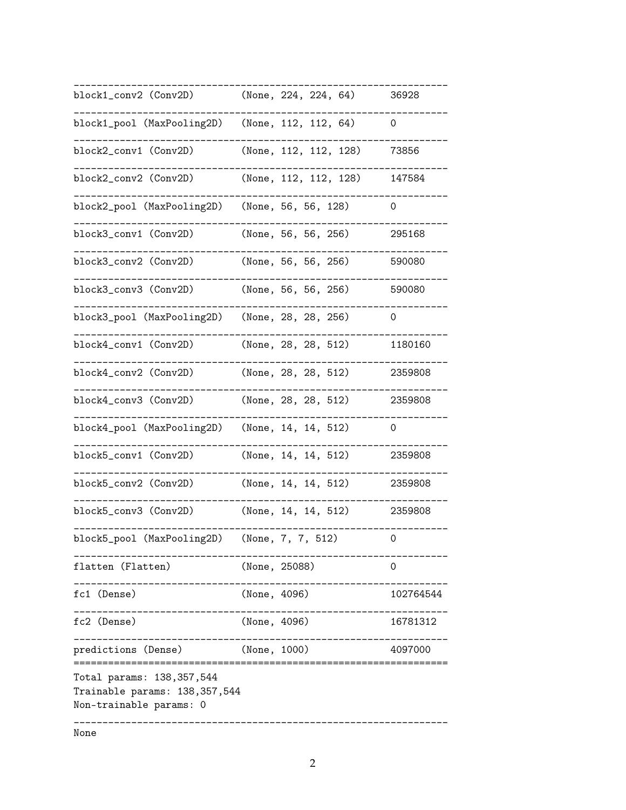\_\_\_\_\_\_\_\_\_\_\_\_\_\_\_\_\_\_\_\_\_\_\_\_\_\_\_\_\_\_\_\_\_\_\_\_\_\_\_\_\_\_\_\_\_\_\_\_\_\_\_\_\_\_\_\_\_\_\_\_\_\_\_\_\_ block1\_conv2 (Conv2D) (None, 224, 224, 64) 36928 \_\_\_\_\_\_\_\_\_\_\_\_\_\_\_\_\_\_\_\_\_\_\_\_\_\_\_\_\_\_\_\_\_\_\_\_\_\_\_\_\_\_\_\_\_\_\_\_\_\_\_\_\_\_\_\_\_\_\_\_\_\_\_\_\_ block1\_pool (MaxPooling2D) (None, 112, 112, 64) 0 \_\_\_\_\_\_\_\_\_\_\_\_\_\_\_\_\_\_\_\_\_\_\_\_\_\_\_\_\_\_\_\_\_\_\_\_\_\_\_\_\_\_\_\_\_\_\_\_\_\_\_\_\_\_\_\_\_\_\_\_\_\_\_\_\_ block2\_conv1 (Conv2D) (None, 112, 112, 128) 73856 \_\_\_\_\_\_\_\_\_\_\_\_\_\_\_\_\_\_\_\_\_\_\_\_\_\_\_\_\_\_\_\_\_\_\_\_\_\_\_\_\_\_\_\_\_\_\_\_\_\_\_\_\_\_\_\_\_\_\_\_\_\_\_\_\_ block2\_conv2 (Conv2D) (None, 112, 112, 128) 147584 \_\_\_\_\_\_\_\_\_\_\_\_\_\_\_\_\_\_\_\_\_\_\_\_\_\_\_\_\_\_\_\_\_\_\_\_\_\_\_\_\_\_\_\_\_\_\_\_\_\_\_\_\_\_\_\_\_\_\_\_\_\_\_\_\_ block2\_pool (MaxPooling2D) (None, 56, 56, 128) 0 \_\_\_\_\_\_\_\_\_\_\_\_\_\_\_\_\_\_\_\_\_\_\_\_\_\_\_\_\_\_\_\_\_\_\_\_\_\_\_\_\_\_\_\_\_\_\_\_\_\_\_\_\_\_\_\_\_\_\_\_\_\_\_\_\_ block3\_conv1 (Conv2D) (None, 56, 56, 256) 295168 \_\_\_\_\_\_\_\_\_\_\_\_\_\_\_\_\_\_\_\_\_\_\_\_\_\_\_\_\_\_\_\_\_\_\_\_\_\_\_\_\_\_\_\_\_\_\_\_\_\_\_\_\_\_\_\_\_\_\_\_\_\_\_\_\_ block3\_conv2 (Conv2D) (None, 56, 56, 256) 590080 \_\_\_\_\_\_\_\_\_\_\_\_\_\_\_\_\_\_\_\_\_\_\_\_\_\_\_\_\_\_\_\_\_\_\_\_\_\_\_\_\_\_\_\_\_\_\_\_\_\_\_\_\_\_\_\_\_\_\_\_\_\_\_\_\_ block3\_conv3 (Conv2D) (None, 56, 56, 256) 590080 \_\_\_\_\_\_\_\_\_\_\_\_\_\_\_\_\_\_\_\_\_\_\_\_\_\_\_\_\_\_\_\_\_\_\_\_\_\_\_\_\_\_\_\_\_\_\_\_\_\_\_\_\_\_\_\_\_\_\_\_\_\_\_\_\_ block3\_pool (MaxPooling2D) (None, 28, 28, 256) 0 \_\_\_\_\_\_\_\_\_\_\_\_\_\_\_\_\_\_\_\_\_\_\_\_\_\_\_\_\_\_\_\_\_\_\_\_\_\_\_\_\_\_\_\_\_\_\_\_\_\_\_\_\_\_\_\_\_\_\_\_\_\_\_\_\_ block4\_conv1 (Conv2D) (None, 28, 28, 512) 1180160 \_\_\_\_\_\_\_\_\_\_\_\_\_\_\_\_\_\_\_\_\_\_\_\_\_\_\_\_\_\_\_\_\_\_\_\_\_\_\_\_\_\_\_\_\_\_\_\_\_\_\_\_\_\_\_\_\_\_\_\_\_\_\_\_\_ block4\_conv2 (Conv2D) (None, 28, 28, 512) 2359808 \_\_\_\_\_\_\_\_\_\_\_\_\_\_\_\_\_\_\_\_\_\_\_\_\_\_\_\_\_\_\_\_\_\_\_\_\_\_\_\_\_\_\_\_\_\_\_\_\_\_\_\_\_\_\_\_\_\_\_\_\_\_\_\_\_ block4\_conv3 (Conv2D) (None, 28, 28, 512) 2359808 \_\_\_\_\_\_\_\_\_\_\_\_\_\_\_\_\_\_\_\_\_\_\_\_\_\_\_\_\_\_\_\_\_\_\_\_\_\_\_\_\_\_\_\_\_\_\_\_\_\_\_\_\_\_\_\_\_\_\_\_\_\_\_\_\_ block4\_pool (MaxPooling2D) (None, 14, 14, 512) 0 \_\_\_\_\_\_\_\_\_\_\_\_\_\_\_\_\_\_\_\_\_\_\_\_\_\_\_\_\_\_\_\_\_\_\_\_\_\_\_\_\_\_\_\_\_\_\_\_\_\_\_\_\_\_\_\_\_\_\_\_\_\_\_\_\_ block5\_conv1 (Conv2D) (None, 14, 14, 512) 2359808 \_\_\_\_\_\_\_\_\_\_\_\_\_\_\_\_\_\_\_\_\_\_\_\_\_\_\_\_\_\_\_\_\_\_\_\_\_\_\_\_\_\_\_\_\_\_\_\_\_\_\_\_\_\_\_\_\_\_\_\_\_\_\_\_\_ block5\_conv2 (Conv2D) (None, 14, 14, 512) 2359808 \_\_\_\_\_\_\_\_\_\_\_\_\_\_\_\_\_\_\_\_\_\_\_\_\_\_\_\_\_\_\_\_\_\_\_\_\_\_\_\_\_\_\_\_\_\_\_\_\_\_\_\_\_\_\_\_\_\_\_\_\_\_\_\_\_ block5\_conv3 (Conv2D) (None, 14, 14, 512) 2359808 \_\_\_\_\_\_\_\_\_\_\_\_\_\_\_\_\_\_\_\_\_\_\_\_\_\_\_\_\_\_\_\_\_\_\_\_\_\_\_\_\_\_\_\_\_\_\_\_\_\_\_\_\_\_\_\_\_\_\_\_\_\_\_\_\_ block5\_pool (MaxPooling2D) (None, 7, 7, 512) 0 \_\_\_\_\_\_\_\_\_\_\_\_\_\_\_\_\_\_\_\_\_\_\_\_\_\_\_\_\_\_\_\_\_\_\_\_\_\_\_\_\_\_\_\_\_\_\_\_\_\_\_\_\_\_\_\_\_\_\_\_\_\_\_\_\_ flatten (Flatten) (None, 25088) 0 \_\_\_\_\_\_\_\_\_\_\_\_\_\_\_\_\_\_\_\_\_\_\_\_\_\_\_\_\_\_\_\_\_\_\_\_\_\_\_\_\_\_\_\_\_\_\_\_\_\_\_\_\_\_\_\_\_\_\_\_\_\_\_\_\_ fc1 (Dense) (None, 4096) 102764544 \_\_\_\_\_\_\_\_\_\_\_\_\_\_\_\_\_\_\_\_\_\_\_\_\_\_\_\_\_\_\_\_\_\_\_\_\_\_\_\_\_\_\_\_\_\_\_\_\_\_\_\_\_\_\_\_\_\_\_\_\_\_\_\_\_ fc2 (Dense) (None, 4096) 16781312 \_\_\_\_\_\_\_\_\_\_\_\_\_\_\_\_\_\_\_\_\_\_\_\_\_\_\_\_\_\_\_\_\_\_\_\_\_\_\_\_\_\_\_\_\_\_\_\_\_\_\_\_\_\_\_\_\_\_\_\_\_\_\_\_\_ predictions (Dense) (None, 1000) 4097000 ================================================================= Total params: 138,357,544 Trainable params: 138,357,544 Non-trainable params: 0 \_\_\_\_\_\_\_\_\_\_\_\_\_\_\_\_\_\_\_\_\_\_\_\_\_\_\_\_\_\_\_\_\_\_\_\_\_\_\_\_\_\_\_\_\_\_\_\_\_\_\_\_\_\_\_\_\_\_\_\_\_\_\_\_\_ None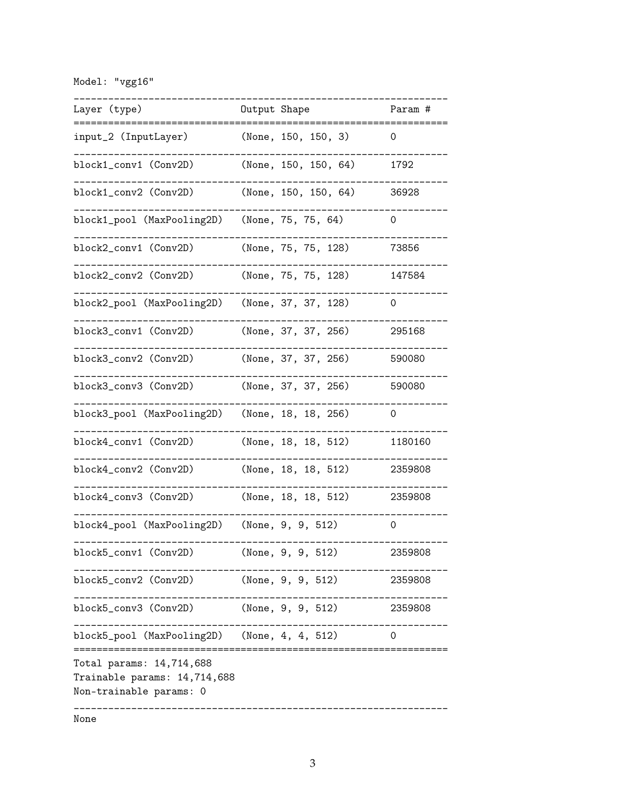Model: "vgg16"

| Layer (type)                                                                        | Output Shape |                      | Param # |
|-------------------------------------------------------------------------------------|--------------|----------------------|---------|
| input_2 (InputLayer)                                                                |              | (None, 150, 150, 3)  | O       |
| block1_conv1 (Conv2D)                                                               |              | (None, 150, 150, 64) | 1792    |
| block1_conv2 (Conv2D)                                                               |              | (None, 150, 150, 64) | 36928   |
| block1_pool (MaxPooling2D)                                                          |              | (None, 75, 75, 64)   | 0       |
| block2_conv1 (Conv2D)                                                               |              | (None, 75, 75, 128)  | 73856   |
| block2_conv2 (Conv2D)                                                               |              | (None, 75, 75, 128)  | 147584  |
| block2_pool (MaxPooling2D)                                                          |              | (None, 37, 37, 128)  | 0       |
| block3_conv1 (Conv2D)                                                               |              | (None, 37, 37, 256)  | 295168  |
| block3_conv2 (Conv2D)                                                               |              | (None, 37, 37, 256)  | 590080  |
| block3_conv3 (Conv2D)                                                               |              | (None, 37, 37, 256)  | 590080  |
| block3_pool (MaxPooling2D)                                                          |              | (None, 18, 18, 256)  | 0       |
| block4_conv1 (Conv2D)                                                               |              | (None, 18, 18, 512)  | 1180160 |
| block4_conv2 (Conv2D)                                                               |              | (None, 18, 18, 512)  | 2359808 |
| block4_conv3 (Conv2D)                                                               |              | (None, 18, 18, 512)  | 2359808 |
| block4_pool (MaxPooling2D)                                                          |              | (None, 9, 9, 512)    | 0       |
| block5_conv1(Conv2D)                                                                |              | (None, 9, 9, 512)    | 2359808 |
| block5_conv2(Conv2D)                                                                |              | (None, 9, 9, 512)    | 2359808 |
| block5_conv3 (Conv2D)                                                               |              | (None, 9, 9, 512)    | 2359808 |
| block5_pool (MaxPooling2D) (None, 4, 4, 512)                                        |              |                      | 0       |
| Total params: 14,714,688<br>Trainable params: 14,714,688<br>Non-trainable params: 0 |              |                      |         |
| None                                                                                |              |                      |         |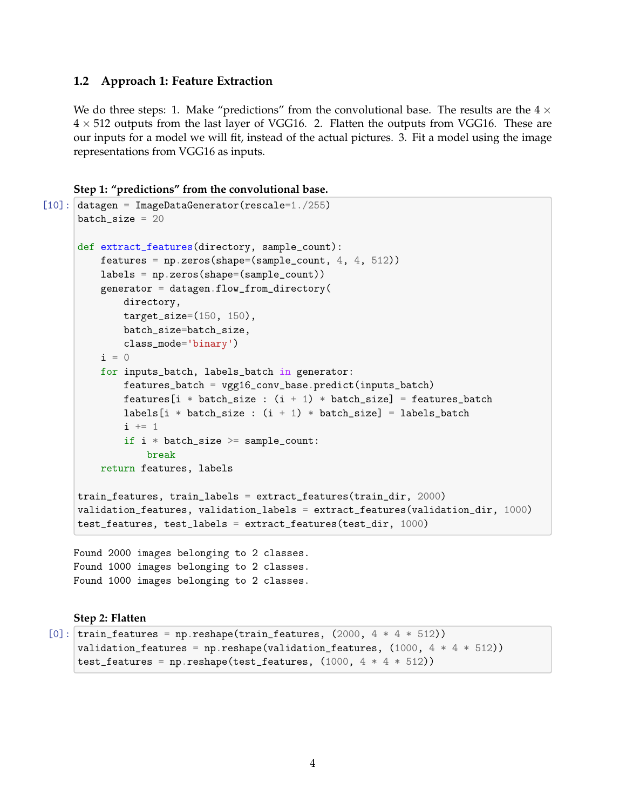#### **1.2 Approach 1: Feature Extraction**

We do three steps: 1. Make "predictions" from the convolutional base. The results are the  $4 \times$  $4 \times 512$  outputs from the last layer of VGG16. 2. Flatten the outputs from VGG16. These are our inputs for a model we will fit, instead of the actual pictures. 3. Fit a model using the image representations from VGG16 as inputs.

```
Step 1: "predictions" from the convolutional base.
```

```
[10]: datagen = ImageDataGenerator(rescale=1./255)
      batch_size = 20def extract_features(directory, sample_count):
          features = np \cdot zeros(shape=(sample_count, 4, 4, 512))labels = np.zeros(shape=(sample_count))
          generator = datagen.flow\_from_directory(directory,
              target_size=(150, 150),
              batch_size=batch_size,
              class_mode='binary')
          i = 0for inputs_batch, labels_batch in generator:
              features_batch = vgg16_conv_base.predict(inputs_batch)
              features[i * batch_size : (i + 1) * batch_size] = features_batch
              labels[i * batch_size : (i + 1) * batch_size] = labels_batchi \neq 1if i * batch_size \geq samemath>sample_count:
                  break
          return features, labels
      train_features, train_labels = extract_features(train_dir, 2000)
      validation_features, validation_labels = extract_features(validation_dir, 1000)
      test_features, test_labels = extract_features(test_dir, 1000)
```
Found 2000 images belonging to 2 classes. Found 1000 images belonging to 2 classes. Found 1000 images belonging to 2 classes.

#### **Step 2: Flatten**

```
[0]: train_features = np.reshape(train_features, (2000, 4 * 4 * 512))
     validation_features = np.reshape(validation_features, (1000, 4 * 4 * 512))
     test_features = np.reshape(test_features, (1000, 4 * 4 * 512))
```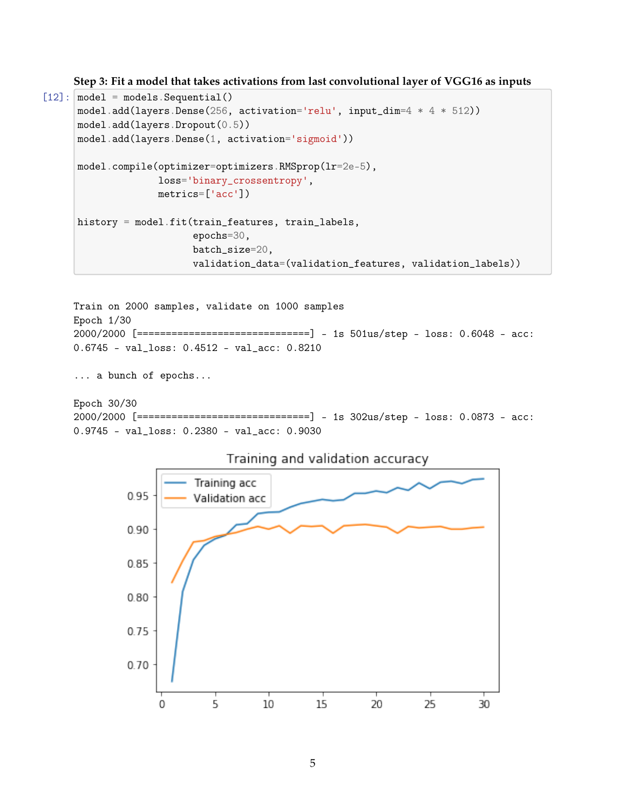**Step 3: Fit a model that takes activations from last convolutional layer of VGG16 as inputs**

```
[12]: model = models. Sequential()
      model.add(layers.Dense(256, activation='relu', input_dim=4 * 4 * 512))
      model.add(layers.Dropout(0.5))
      model.add(layers.Dense(1, activation='sigmoid'))
      model.compile(optimizer=optimizers.RMSprop(lr=2e-5),
                    loss='binary_crossentropy',
                    metrics=['acc'])
     history = model.fit(train_features, train_labels,
                          epochs=30,
                          batch_size=20,
                          validation_data=(validation_features, validation_labels))
```

```
Train on 2000 samples, validate on 1000 samples
Epoch 1/30
2000/2000 [==============================] - 1s 501us/step - loss: 0.6048 - acc:
0.6745 - val_loss: 0.4512 - val_acc: 0.8210
```
... a bunch of epochs...

Epoch 30/30 2000/2000 [==============================] - 1s 302us/step - loss: 0.0873 - acc: 0.9745 - val\_loss: 0.2380 - val\_acc: 0.9030



Training and validation accuracy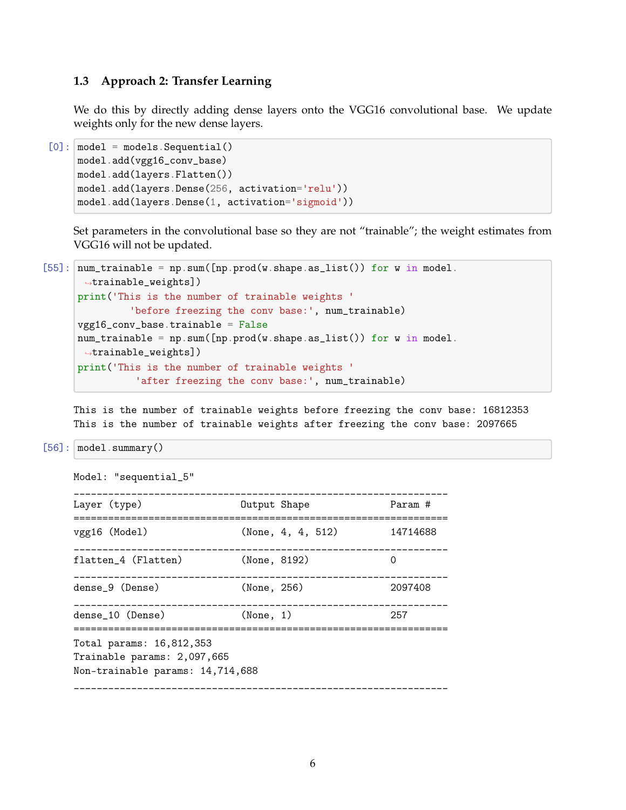### **1.3 Approach 2: Transfer Learning**

We do this by directly adding dense layers onto the VGG16 convolutional base. We update weights only for the new dense layers.

```
[0]: | model = models. Sequential()
    model.add(vgg16_conv_base)
     model.add(layers.Flatten())
     model.add(layers.Dense(256, activation='relu'))
     model.add(layers.Dense(1, activation='sigmoid'))
```
Set parameters in the convolutional base so they are not "trainable"; the weight estimates from VGG16 will not be updated.

```
[55]: \text{num\_trainable} = \text{np.sum}(\text{[np.prod(w.shape.as_list())} for w in model.,→trainable_weights])
      print('This is the number of trainable weights '
                'before freezing the conv base:', num_trainable)
      vgg16_conv_base.trainable = False
      num\_trainable = np.sum([np.prod(w.shape.a s\_list()) for w in model.,→trainable_weights])
      print('This is the number of trainable weights '
                 'after freezing the conv base:', num_trainable)
```
This is the number of trainable weights before freezing the conv base: 16812353 This is the number of trainable weights after freezing the conv base: 2097665

```
[56]: | model.summary()
```

```
Model: "sequential_5"
_________________________________________________________________
Layer (type) Dutput Shape Param #
=================================================================
vgg16 (Model) (None, 4, 4, 512) 14714688
_________________________________________________________________
flatten_4 (Flatten) (None, 8192) 0
_________________________________________________________________
dense_9 (Dense) (None, 256) 2097408
_________________________________________________________________
dense_10 (Dense) (None, 1) 257
=================================================================
Total params: 16,812,353
Trainable params: 2,097,665
Non-trainable params: 14,714,688
_________________________________________________________________
```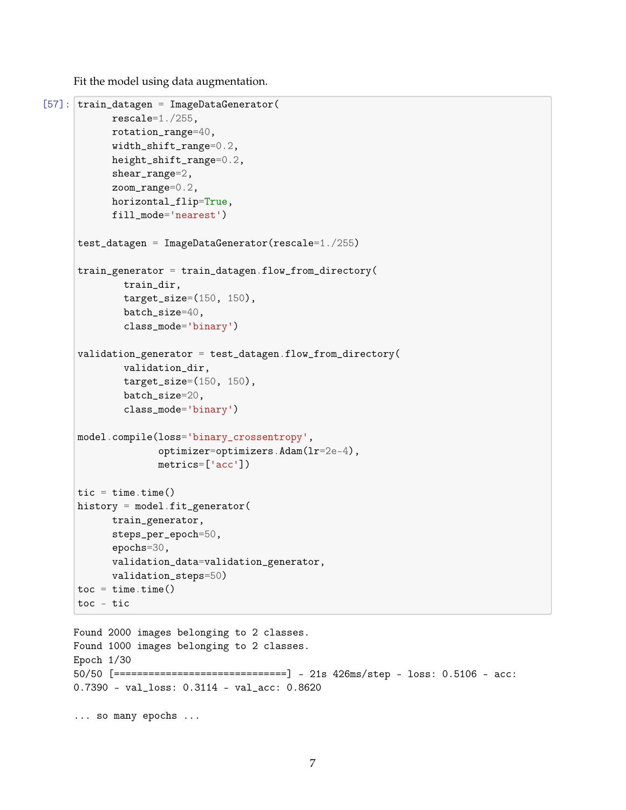Fit the model using data augmentation.

```
[57]: train_datagen = ImageDataGenerator(
            rescale=1./255,
            rotation_range=40,
            width_shift_range=0.2,
            height_shift_range=0.2,
            shear_range=2,
            zoom_range=0.2,
            horizontal_flip=True,
            fill_mode='nearest')
      test_datagen = ImageDataGenerator(rescale=1./255)
      train_generator = train_datagen.flow_from_directory(
              train_dir,
              target_size=(150, 150),
              batch_size=40,
              class_mode='binary')
      validation_generator = test_datagen.flow_from_directory(
              validation_dir,
              target_size=(150, 150),
              batch_size=20,
              class_mode='binary')
      model.compile(loss='binary_crossentropy',
                     optimizer=optimizers.Adam(lr=2e-4),
                     metrics=['acc'])
      tic = time.time()history = model.fit_generator(
            train_generator,
            steps_per_epoch=50,
            epochs=30,
            validation_data=validation_generator,
            validation_steps=50)
      \text{toc} = \text{time}.\text{time}()toc - tic
     Found 2000 images belonging to 2 classes.
```

```
Found 1000 images belonging to 2 classes.
Epoch 1/30
50/50 [==============================] - 21s 426ms/step - loss: 0.5106 - acc:
0.7390 - val_loss: 0.3114 - val_acc: 0.8620
```
... so many epochs ...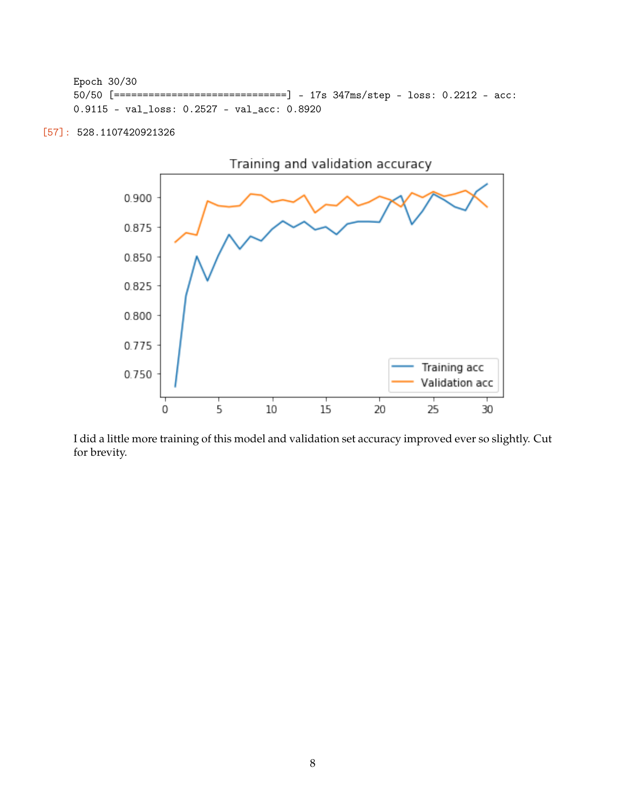```
Epoch 30/30
50/50 [==============================] - 17s 347ms/step - loss: 0.2212 - acc:
0.9115 - val_loss: 0.2527 - val_acc: 0.8920
```
[57]: 528.1107420921326



I did a little more training of this model and validation set accuracy improved ever so slightly. Cut for brevity.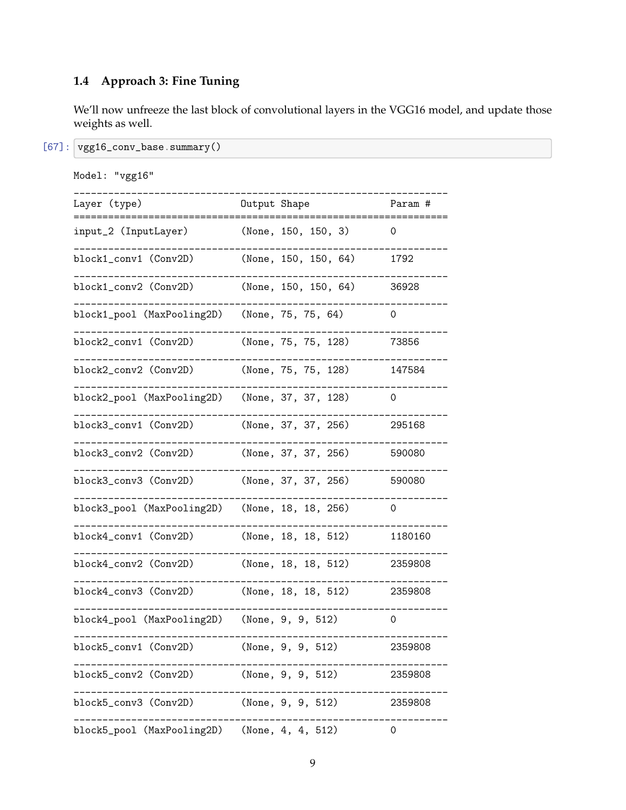# **1.4 Approach 3: Fine Tuning**

We'll now unfreeze the last block of convolutional layers in the VGG16 model, and update those weights as well.

[67]: vgg16\_conv\_base.summary()

| Model: "vgg16"                               |                      |                |
|----------------------------------------------|----------------------|----------------|
| Layer (type)                                 | Output Shape         | Param #        |
| input_2 (InputLayer)                         | (None, 150, 150, 3)  | 0              |
| block1_conv1 (Conv2D)                        | (None, 150, 150, 64) | 1792           |
| block1_conv2 (Conv2D)                        | (None, 150, 150, 64) | 36928          |
| block1_pool (MaxPooling2D)                   | (None, 75, 75, 64)   | 0              |
| block2_conv1 (Conv2D)                        | (None, 75, 75, 128)  | 73856          |
| block2_conv2 (Conv2D)                        | (None, 75, 75, 128)  | 147584         |
| block2_pool (MaxPooling2D)                   | (None, 37, 37, 128)  | 0              |
| block3_conv1 (Conv2D)                        | (None, 37, 37, 256)  | 295168         |
| block3_conv2 (Conv2D)                        | (None, 37, 37, 256)  | 590080         |
| block3_conv3 (Conv2D)                        | (None, 37, 37, 256)  | 590080         |
| block3_pool (MaxPooling2D)                   | (None, 18, 18, 256)  | 0              |
| block4_conv1 (Conv2D)                        | (None, 18, 18, 512)  | 1180160        |
| block4_conv2 (Conv2D)                        | (None, 18, 18, 512)  | 2359808        |
| block4_conv3 (Conv2D)                        | (None, 18, 18, 512)  | 2359808        |
| block4_pool (MaxPooling2D)                   | (None, 9, 9, 512)    | 0              |
| block5_conv1 (Conv2D) (None, 9, 9, 512)      |                      | 2359808        |
| block5_conv2 (Conv2D)                        | (None, 9, 9, 512)    | 2359808        |
| block5_conv3 (Conv2D)                        | (None, 9, 9, 512)    | 2359808        |
| block5_pool (MaxPooling2D) (None, 4, 4, 512) |                      | $\overline{O}$ |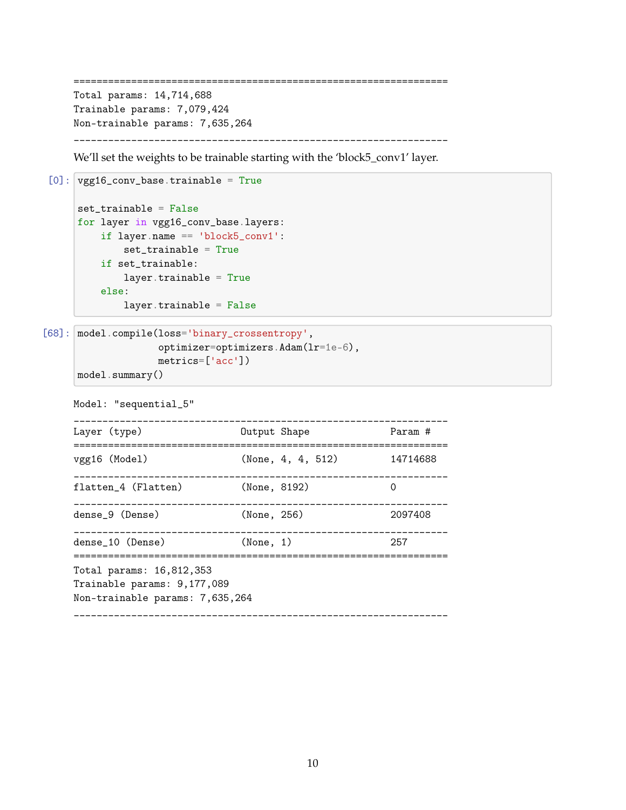```
=================================================================
Total params: 14,714,688
Trainable params: 7,079,424
Non-trainable params: 7,635,264
   _________________________________________________________________
```
We'll set the weights to be trainable starting with the 'block5\_conv1' layer.

```
[0]: vgg16_conv_base.trainable = True
     set_trainable = False
     for layer in vgg16_conv_base.layers:
         if layer.name == 'block5_conv1':
             set_trainable = True
         if set_trainable:
             layer.trainable = True
         else:
             layer.trainable = False
```

```
[68]: model.compile(loss='binary_crossentropy',
                    optimizer=optimizers.Adam(lr=1e-6),
```

```
metrics=['acc'])
```
model.summary()

```
Model: "sequential_5"
_________________________________________________________________
Layer (type) Dutput Shape Param #
=================================================================
vgg16 (Model) (None, 4, 4, 512) 14714688
  _________________________________________________________________
flatten_4 (Flatten) (None, 8192) 0
  _________________________________________________________________
dense_9 (Dense) (None, 256) 2097408
_________________________________________________________________
dense_10 (Dense) (None, 1) 257
=================================================================
Total params: 16,812,353
Trainable params: 9,177,089
Non-trainable params: 7,635,264
_________________________________________________________________
```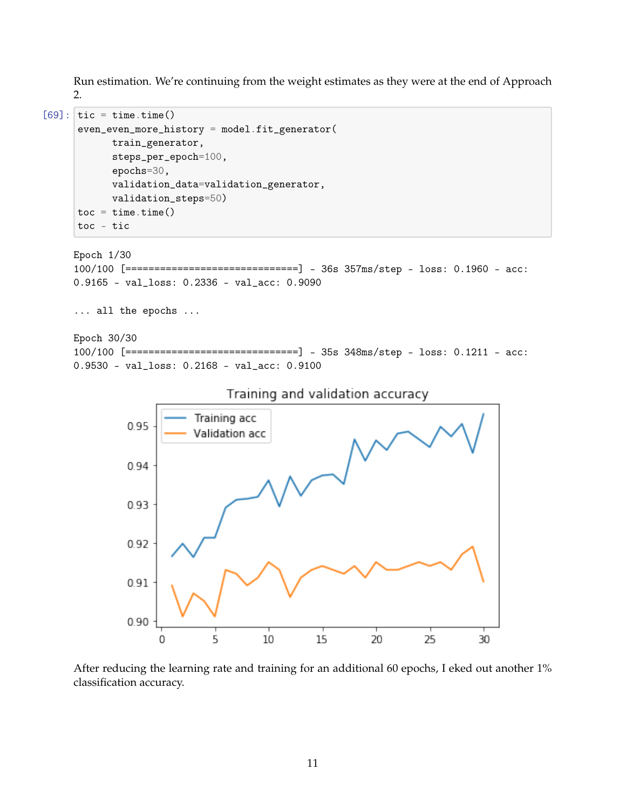Run estimation. We're continuing from the weight estimates as they were at the end of Approach 2.

```
[69]: \text{tic} = \text{time.time}()even_even_more_history = model.fit_generator(
             train_generator,
             steps_per_epoch=100,
             epochs=30,
             validation_data=validation_generator,
             validation_steps=50)
      \text{toc} = \text{time}.\text{time}()toc - tic
     Epoch 1/30
     100/100 [==============================] - 36s 357ms/step - loss: 0.1960 - acc:
     0.9165 - val_loss: 0.2336 - val_acc: 0.9090
     ... all the epochs ...
     Epoch 30/30
     100/100 [==============================] - 35s 348ms/step - loss: 0.1211 - acc:
     0.9530 - val_loss: 0.2168 - val_acc: 0.9100
                                  Training and validation accuracy
                             Training acc
                0.95
                            Validation acc
                0.94
                0.93
                0.92
```
0.91 0.90 5 10 15 25 20 30 O

After reducing the learning rate and training for an additional 60 epochs, I eked out another 1% classification accuracy.